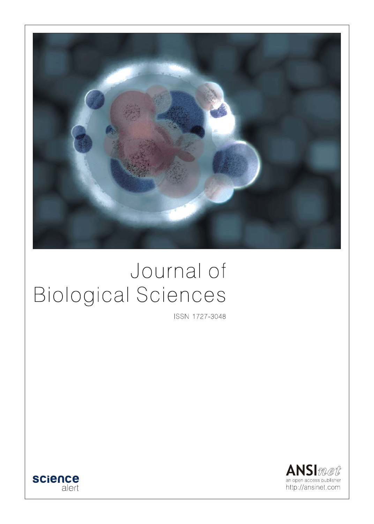

# Journal of **Biological Sciences**

ISSN 1727-3048



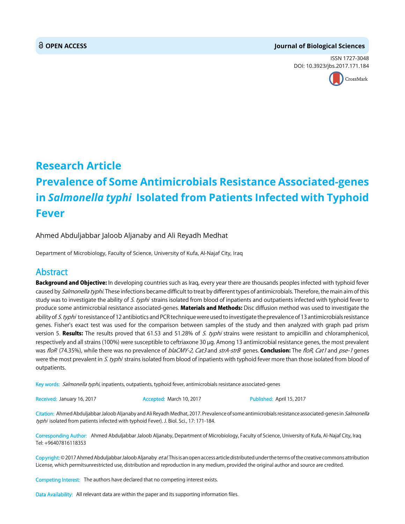#### **OPEN ACCESS Journal of Biological Sciences**

ISSN 1727-3048 DOI: 10.3923/jbs.2017.171.184



## **Research Article Prevalence of Some Antimicrobials Resistance Associated-genes in** *Salmonella typhi* **Isolated from Patients Infected with Typhoid Fever**

Ahmed Abduljabbar Jaloob Aljanaby and Ali Reyadh Medhat

Department of Microbiology, Faculty of Science, University of Kufa, Al-Najaf City, Iraq

### Abstract

Background and Objective: In developing countries such as Iraq, every year there are thousands peoples infected with typhoid fever caused by Salmonella typhi. These infections became difficult to treat by different types of antimicrobials. Therefore, the main aim of this study was to investigate the ability of S. typhi strains isolated from blood of inpatients and outpatients infected with typhoid fever to produce some antimicrobial resistance associated-genes. Materials and Methods: Disc diffusion method was used to investigate the ability of S. typhi to resistance of 12 antibiotics and PCR technique were used to investigate the prevalence of 13 antimicrobials resistance genes. Fisher's exact test was used for the comparison between samples of the study and then analyzed with graph pad prism version 5. Results: The results proved that 61.53 and 51.28% of S. typhi strains were resistant to ampicillin and chloramphenicol, respectively and all strains (100%) were susceptible to ceftriaxone 30 µg. Among 13 antimicrobial resistance genes, the most prevalent was floR (74.35%), while there was no prevalence of blaCMY-2, Cat3 and strA-strB genes. Conclusion: The floR, Cat1 and pse-1 genes were the most prevalent in S. typhi strains isolated from blood of inpatients with typhoid fever more than those isolated from blood of outpatients.

Key words: Salmonella typhi, inpatients, outpatients, typhoid fever, antimicrobials resistance associated-genes

Received: January 16, 2017 **Accepted: March 10, 2017** Published: April 15, 2017

Citation: Ahmed Abduljabbar Jaloob Aljanaby and Ali Reyadh Medhat, 2017. Prevalence of some antimicrobials resistance associated-genes in *Salmonella* typhi isolated from patients infected with typhoid Fever). J. Biol. Sci., 17: 171-184.

Corresponding Author: Ahmed Abduljabbar Jaloob Aljanaby, Department of Microbiology, Faculty of Science, University of Kufa, Al-Najaf City, Iraq Tel: +96407816118353

Copyright: © 2017 Ahmed Abduljabbar Jaloob Aljanaby et al. This is an open access article distributed under the terms of the creative commons attribution License, which permitsunrestricted use, distribution and reproduction in any medium, provided the original author and source are credited.

Competing Interest: The authors have declared that no competing interest exists.

Data Availability: All relevant data are within the paper and its supporting information files.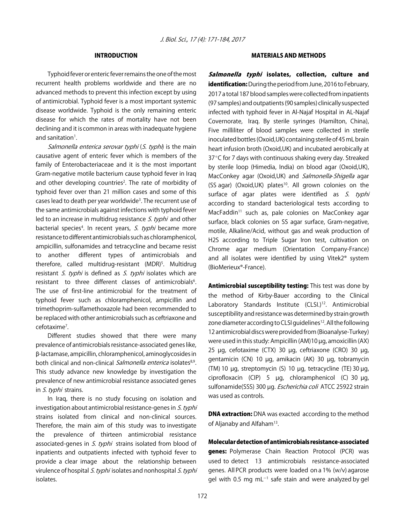#### INTRODUCTION

Typhoid fever or enteric fever remains the one of the most recurrent health problems worldwide and there are no advanced methods to prevent this infection except by using of antimicrobial. Typhoid fever is a most important systemic disease worldwide. Typhoid is the only remaining enteric disease for which the rates of mortality have not been declining and it is common in areas with inadequate hygiene and sanitation<sup>1</sup>.

Salmonella enterica serovar typhi (S. typhi) is the main causative agent of enteric fever which is members of the family of Enterobacteriaceae and it is the most important Gram-negative motile bacterium cause typhoid fever in Iraq and other developing countries<sup>2</sup>. The rate of morbidity of typhoid fever over than 21 million cases and some of this cases lead to death per year worldwide<sup>3</sup>. The recurrent use of the same antimicrobials against infections with typhoid fever led to an increase in multidrug resistance *S. typhi* and other bacterial species<sup>4</sup>. In recent years, S. typhi became more resistance to different antimicrobials such as chloramphenicol, ampicillin, sulfonamides and tetracycline and became resist to another different types of antimicrobials and therefore, called multidrug-resistant (MDR)<sup>5</sup>. Multidrug resistant S. typhi is defined as S. typhi isolates which are resistant to three different classes of antimicrobials<sup>6</sup>. The use of first-line antimicrobial for the treatment of typhoid fever such as chloramphenicol, ampicillin and trimethoprim-sulfamethoxazole had been recommended to be replaced with other antimicrobials such as ceftriaxone and cefotaxime<sup>7</sup>.

Different studies showed that there were many prevalence of antimicrobials resistance-associated genes like, \$-lactamase, ampicillin, chloramphenicol, aminoglycosides in both clinical and non-clinical Salmonella enterica isolates<sup>8,9</sup>. This study advance new knowledge by investigation the prevalence of new antimicrobial resistance associated genes in S. typhi strains.

In Iraq, there is no study focusing on isolation and investigation about antimicrobial resistance-genes in S. typhi strains isolated from clinical and non-clinical sources. Therefore, the main aim of this study was to investigate the prevalence of thirteen antimicrobial resistance associated-genes in S. typhi strains isolated from blood of inpatients and outpatients infected with typhoid fever to provide a clear image about the relationship between virulence of hospital S. typhi isolates and nonhospital S. typhi isolates.

#### MATERIALS AND METHODS

Salmonella typhi isolates, collection, culture and identification: During the period from June, 2016 to February, 2017 a total 187 blood samples were collected from inpatients (97 samples) and outpatients (90 samples) clinically suspected infected with typhoid fever in Al-Najaf Hospital in AL-Najaf Covernorate, Iraq. By sterile syringes (Hamilton, China), Five milliliter of blood samples were collected in sterile inoculated bottles (Oxoid,UK) containing sterile of 45 mL brain heart infusion broth (Oxoid,UK) and incubated aerobically at  $37^{\circ}$ C for 7 days with continuous shaking every day. Streaked by sterile loop (Himedia, India) on blood agar (Oxoid,UK), MacConkey agar (Oxoid, UK) and Salmonella-Shigella agar (SS agar) (Oxoid, UK) plates<sup>10</sup>. All grown colonies on the surface of agar plates were identified as S. typhi according to standard bacteriological tests according to MacFaddin<sup>11</sup> such as, pale colonies on MacConkey agar surface, black colonies on SS agar surface, Gram-negative, motile, Alkaline/Acid, without gas and weak production of H2S according to Triple Sugar Iron test, cultivation on Chrome agar medium (Orientation Company-France) and all isolates were identified by using Vitek2® system (BioMerieux®-France).

Antimicrobial susceptibility testing: This test was done by the method of Kirby-Bauer according to the Clinical Laboratory Standards Institute (CLSI.)<sup>12</sup>. Antimicrobial susceptibility and resistance was determined by strain growth zone diameter according to CLSI guidelines<sup>12</sup>. All the following 12 antimicrobial discs were provided from (Bioanalyse-Turkey) were used in this study: Ampicillin (AM)10 µg, amoxicillin (AX) 25 µg, cefotaxime (CTX) 30 µg, ceftriaxone (CRO) 30 µg, gentamicin (CN) 10 µg, amikacin (AK) 30 µg, tobramycin (TM) 10 µg, streptomycin (S) 10 µg, tetracycline (TE) 30 µg, ciprofloxacin (CIP) 5 µg, chloramphenicol (C) 30 µg, sulfonamide(SSS) 300 µg. Escherichia coli ATCC 25922 strain was used as controls.

**DNA extraction:** DNA was exacted according to the method of Aljanaby and Alfaham<sup>13</sup>.

Molecular detection of antimicrobials resistance-associated genes: Polymerase Chain Reaction Protocol (PCR) was used to detect 13 antimicrobials resistance-associated genes. All PCR products were loaded on a 1% (w/v) agarose gel with 0.5 mg  $mL^{-1}$  safe stain and were analyzed by gel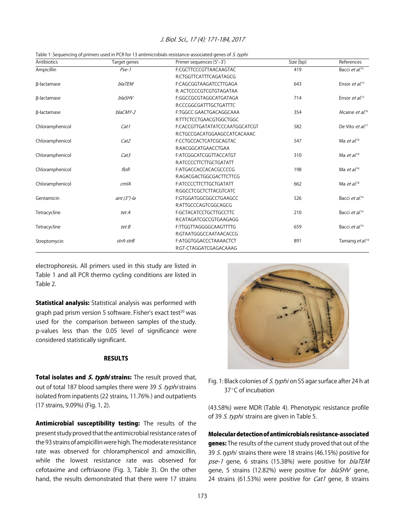| Antibiotics     | Target genes   | Primer sequences (5'-3')       | Size (bp) | References                   |
|-----------------|----------------|--------------------------------|-----------|------------------------------|
| Ampicillin      | $P$ se-1       | F:CGCTTCCCGTTAACAAGTAC         | 419       | Bacci et al. <sup>14</sup>   |
|                 |                | R:CTGGTTCATTTCAGATAGCG         |           |                              |
| β-lactamase     | <b>blaTEM</b>  | F:CAGCGGTAAGATCCTTGAGA         | 643       | Ensor et al. <sup>15</sup>   |
|                 |                | R: ACTCCCCGTCGTGTAGATAA        |           |                              |
| β-lactamase     | blaSHV         | F:GGCCGCGTAGGCATGATAGA         | 714       | Ensor et $aL^{15}$           |
|                 |                | R:CCCGGCGATTTGCTGATTTC         |           |                              |
| β-lactamase     | blaCMY-2       | F:TGGCC GAACTGACAGGCAAA        | 354       | Alcaine et al. <sup>16</sup> |
|                 |                | R:TTTCTCCTGAACGTGGCTGGC        |           |                              |
| Chloramphenicol | Cat1           | F:CACCGTTGATATATCCCAATGGCATCGT | 582       | De Vito et al. <sup>17</sup> |
|                 |                | R:CTGCCGACATGGAAGCCATCACAAAC   |           |                              |
| Chloramphenicol | Cat2           | F:CCTGCCACTCATCGCAGTAC         | 547       | Ma $et al.^{18}$             |
|                 |                | R:AACGGCATGAACCTGAA            |           |                              |
| Chloramphenicol | Cat3           | F:ATCGGCATCGGTTACCATGT         | 310       | Ma $et al.^{18}$             |
|                 |                | R:ATCCCCTTCTTGCTGATATT         |           |                              |
| Chloramphenicol | floR           | F:ATGACCACCACACGCCCCG          | 198       | Ma $et al.^{18}$             |
|                 |                | R:AGACGACTGGCGACTTCTTCG        |           |                              |
| Chloramphenicol | cm/A           | F:ATCCCCTTCTTGCTGATATT         | 662       | Ma $et al.^{18}$             |
|                 |                | R:GGCCTCGCTCTTACGTCATC         |           |                              |
| Gentamicin      | ant $(3")$ -la | F:GTGGATGGCGGCCTGAAGCC         | 526       | Bacci et al. <sup>14</sup>   |
|                 |                | R:ATTGCCCAGTCGGCAGCG           |           |                              |
| Tetracycline    | tet A          | F:GCTACATCCTGCTTGCCTTC         | 210       | Bacci et al. <sup>14</sup>   |
|                 |                | R:CATAGATCGCCGTGAAGAGG         |           |                              |
| Tetracycline    | tet B          | F:TTGGTTAGGGGCAAGTTTTG         | 659       | Bacci et al. <sup>14</sup>   |
|                 |                | R:GTAATGGGCCAATAACACCG         |           |                              |
| Streptomycin    | strA-strB      | F:ATGGTGGACCCTAAAACTCT         | 891       | Tamang et al. <sup>19</sup>  |
|                 |                | R:GT-CTAGGATCGAGACAAAG         |           |                              |

Table 1: Sequencing of primers used in PCR for 13 antimicrobials resistance-associated genes of S. typhi

electrophoresis. All primers used in this study are listed in Table 1 and all PCR thermo cycling conditions are listed in Table 2.

**Statistical analysis:** Statistical analysis was performed with graph pad prism version 5 software. Fisher's exact test<sup>20</sup> was used for the comparison between samples of the study. p-values less than the 0.05 level of significance were considered statistically significant.

#### RESULTS

Total isolates and *S. typhi* strains: The result proved that, out of total 187 blood samples there were 39 S. typhi strains isolated from inpatients (22 strains, 11.76% ) and outpatients (17 strains, 9.09%) (Fig. 1, 2).

Antimicrobial susceptibility testing: The results of the present study proved that the antimicrobial resistance rates of the 93 strains of ampicillin were high. The moderate resistance rate was observed for chloramphenicol and amoxicillin, while the lowest resistance rate was observed for cefotaxime and ceftriaxone (Fig. 3, Table 3). On the other hand, the results demonstrated that there were 17 strains



Fig. 1: Black colonies of S. typhi on SS agar surface after 24 h at 37°C of incubation

(43.58%) were MDR (Table 4). Phenotypic resistance profile of 39 S. typhi strains are given in Table 5.

Molecular detection of antimicrobials resistance-associated genes: The results of the current study proved that out of the 39 S. typhi strains there were 18 strains (46.15%) positive for pse-1 gene, 6 strains (15.38%) were positive for blaTEM gene, 5 strains (12.82%) were positive for *blaSHV* gene, 24 strains (61.53%) were positive for *Cat1* gene, 8 strains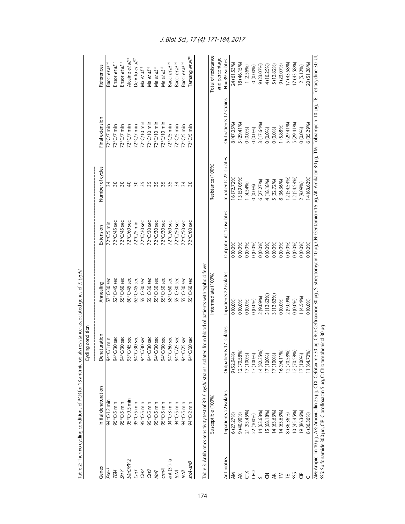|                   | PODODULU U POLITICAL DALODUDU O DULUNI QUE U NUMBRIT A PORT                | Cycling condition                                                                                                                                                                           | in this control direction of the state of the state of the state of the state of the state of the state of the state of the state of the state of the state of the state of the state of the state of the state of the state o |                         |                        |                        |                                    |
|-------------------|----------------------------------------------------------------------------|---------------------------------------------------------------------------------------------------------------------------------------------------------------------------------------------|--------------------------------------------------------------------------------------------------------------------------------------------------------------------------------------------------------------------------------|-------------------------|------------------------|------------------------|------------------------------------|
| Genes             | Initial denaturation                                                       | Denaturation                                                                                                                                                                                | Annealing                                                                                                                                                                                                                      | Extension               | Number of cycles       | Final extension        | References                         |
| Pse-              | 94°C/12 mir                                                                | 94°C/1 min                                                                                                                                                                                  | 57°C/30 sec                                                                                                                                                                                                                    | $72^{\circ}$ C/5 min    |                        | $72^{\circ}$ C/7 min   | Bacci <i>et al</i> . <sup>14</sup> |
| TEM               | $95^{\circ}$ C/5 min                                                       | 94°C/30 sec                                                                                                                                                                                 | 52°C/45 sec                                                                                                                                                                                                                    | 72°C/45 sec             | $\overline{30}$        | $72^{\circ}$ C/7 min   | Ensor et al. <sup>15</sup>         |
| ZН                | $95^{\circ}$ C/5 min                                                       | 94°C/30 sec                                                                                                                                                                                 | 55°C/60 sec                                                                                                                                                                                                                    | $72^{\circ}C/45$ sec    | $\overline{50}$        | $72^{\circ}$ C/7 min   | Ensor et al. <sup>15</sup>         |
| blaCMY-2          | 95°C/9.5 min                                                               | 95°C/45 sec                                                                                                                                                                                 | 60°C/45 sec                                                                                                                                                                                                                    | 72°C/60 sec             | $\overline{40}$        | $72^{\circ}$ C/7 min   | Alcaine et al. <sup>16</sup>       |
| Cat I             | $95^{\circ}$ C/5 min                                                       | 94°C/30 sec                                                                                                                                                                                 | $62^{\circ}$ C/45 sec                                                                                                                                                                                                          | $72^{\circ}$ C/5 min    | 30                     | $72^{\circ}$ C/7 min   | De Vito et al. <sup>17</sup>       |
| Cat <sub>2</sub>  | 95°C/5 min                                                                 | 94°C/30 sec                                                                                                                                                                                 | 55°C/30 sec                                                                                                                                                                                                                    | $72^{\circ}$ C/30 sec   | 35                     | $72^{\circ}$ C/10 min  | Ma et al. <sup>18</sup>            |
| Cat3              | 95°C/5 min                                                                 | 94°C/30 sec                                                                                                                                                                                 | 55°C/30 sec                                                                                                                                                                                                                    | 72°C/30 sec             | 35                     | $72^{\circ}$ C/10 min  | Ma et al. <sup>18</sup>            |
| floR              | $95^{\circ}$ C/5 min                                                       | 94°C/30 sec                                                                                                                                                                                 | 55°C/30 sec                                                                                                                                                                                                                    | 72°C/30 sec             | 35                     | $72^{\circ}$ C/10 min  | Ma et al. <sup>18</sup>            |
| cmlA              | $95^{\circ}$ C/5 min                                                       | 94°C/30 sec                                                                                                                                                                                 | 55°C/30 sec                                                                                                                                                                                                                    | $72^{\circ}$ C/30 sec   | 35                     | $72^{\circ}$ C/10 min  | Ma et al. <sup>18</sup>            |
| ant $(3n)$ -la    | 94°C/3 min                                                                 | 94°C/60 sec                                                                                                                                                                                 | 58°C/60 sec                                                                                                                                                                                                                    | 72°C/60 sec             | 35                     | $72^{\circ}$ C/5 min   | Bacci et al. <sup>14</sup>         |
| tetA              | 94°C/5 min                                                                 | 94°C/25 sec                                                                                                                                                                                 | 55°C/30 sec                                                                                                                                                                                                                    | 72°C/50 sec             | $\overline{3}4$        | $72^{\circ}$ C/5 min   | Bacci et al. <sup>14</sup>         |
| tetB              | 94°C/5 min                                                                 | 94°C/25 sec                                                                                                                                                                                 | 55°C/30 sec                                                                                                                                                                                                                    | 72°C/50 sec             | $\overline{34}$        | $72^{\circ}$ C/5 min   | Bacci et al. <sup>14</sup>         |
| strA-strB         | 94°C/2 min                                                                 | $1/60$ sec<br>o<br>≯°                                                                                                                                                                       | 55°C/60 sec                                                                                                                                                                                                                    | 72°C/60 sec             | 30                     | $72^{\circ}$ C/5 min   | Tamang et al. <sup>19</sup>        |
|                   | Susceptible (100%)                                                         | Table 3: Antibiotics sensitivity test of 39 S. typhi strains isolated from blood of patients with typhoid fever                                                                             | Intermediate (100%)                                                                                                                                                                                                            |                         | Resistance (100%)      |                        | Total of resistance                |
|                   |                                                                            |                                                                                                                                                                                             |                                                                                                                                                                                                                                |                         |                        |                        | and percentage                     |
| Antibiotics       | Inpatients 22 isolates                                                     | ts 17 isolates<br><b>Outpatien</b>                                                                                                                                                          | Inpatients 22 isolates                                                                                                                                                                                                         | Outpatients 17 isolates | Inpatients 22 isolates | Outpatients 17 strains | $N = 39$ isolates                  |
| ΚŇ                | 6 (27.27%)                                                                 | $9(52.94\%)$                                                                                                                                                                                | 0(0.0%                                                                                                                                                                                                                         | $0.0\%$                 | 6 (72.72%)             | 8 (47.05%)             | 24 (61.53%)                        |
| $\breve{\approx}$ | 9 (40.90%)                                                                 | 12 (70.58%)                                                                                                                                                                                 | 0(0.0%                                                                                                                                                                                                                         | 0(0.0%                  | 13 (59.09%)            | 5 (29.41%)             | 8 (46.15%)                         |
| č                 | 21 (95.45%)                                                                | 17 (100%)                                                                                                                                                                                   | 0(0.0%)                                                                                                                                                                                                                        | 0(0.0%)                 | 1(4.54%)               | $0(0.0\%)$             | 1 (2.56%)                          |
| CRO               | 22 (100%)                                                                  | 17 (100%)                                                                                                                                                                                   | 0(0.0%)                                                                                                                                                                                                                        | 0(0.0%                  | 0(0.0%)                | 0(0.0%)                | 0(0.00%)                           |
|                   | 14 (63.63%)                                                                | 14 (82.35%)                                                                                                                                                                                 | 2 (9.09%)                                                                                                                                                                                                                      | 0(0.0%                  | 6 (27.27%)             | 3 (17.64%)             | 9 (23.07%)                         |
| $\overline{5}$    | 15 (68.18%)                                                                | 17 (100%)                                                                                                                                                                                   | 3 (13.63%)                                                                                                                                                                                                                     | 0(0.0%                  | 4 (18.18%)             | 0(0.0%)                | 4 (10.25%)                         |
| $\angle$          | 14 (63.63%)                                                                | 17 (100%)                                                                                                                                                                                   | 3 (13.63%)                                                                                                                                                                                                                     | 0(0.0%)                 | 5 (22.72%)             | 0(0.0%)                | 5 (12.82%)                         |
| M                 | 14 (63.63%)                                                                | 16 (94.11%)                                                                                                                                                                                 | 0(0.0%)                                                                                                                                                                                                                        | 0(0.0%                  | 8 (36.36%)             | 1 (5.88%)              | 9(23.07%)                          |
| ٣                 | 8 (36.36%)                                                                 | 12 (70.58%                                                                                                                                                                                  | 2 (9.09%)                                                                                                                                                                                                                      | 0(0.0%)                 | 12 (54.54%)            | 5 (29.41%)             | 17 (43.58%)                        |
| SSS               | 10 (45.45%)                                                                | 12 (70.58%)                                                                                                                                                                                 | 0(0.0%)                                                                                                                                                                                                                        | 0(0.0%)                 | 12 (54.54%)            | 5 (29.41%)             | 17 (43.58%)                        |
| d<br>U            | 9 (86.36%)                                                                 | 17 (100%)                                                                                                                                                                                   | 1(4.54%)                                                                                                                                                                                                                       | 0(0.0%                  | 2 (9.09%)              | 0(0.0%)                | 2 (5.12%)                          |
|                   | 8 (36.36%)                                                                 | 11 (64.70%)                                                                                                                                                                                 | 0(0.0%)                                                                                                                                                                                                                        | 0(0.0%                  | 14 (63.63%)            | 6 (35.29%)             | 20 (51.28%)                        |
|                   | SSS: Sulfonamide 300 µg, CIP: Ciprofloxacin 5 µg, C: Chloramphenicol 30 µg | AM.Ampicillin 10 µg, AX.Amoxicillin 25 µg, CTX:Cefotaxime 30 µg, Ceftriaxone 30 µg, Streptomycin 10 µg, Gentamicin 15 µg, AK:Amikacin 30 µg, TtM: Tobramycin 10 µg, TE: Tetracycline 30 UI, |                                                                                                                                                                                                                                |                         |                        |                        |                                    |
|                   |                                                                            |                                                                                                                                                                                             |                                                                                                                                                                                                                                |                         |                        |                        |                                    |

genes of S. typhi Table 2: Thermo cycling conditions of PCR for 13 antimicrobials resistance-associated genes of S. typhi  $\ddot{\phantom{a}}$ ľ  $nc$ ict $\alpha$ hialo آ+م of PCR for 13 Ę عاد اس<br>ما Table 2: Thermo

174

#### J. Biol. Sci., 17 (4): 171-184, 2017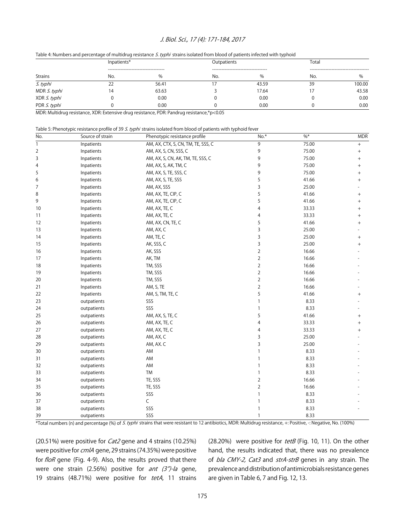Table 4: Numbers and percentage of multidrug resistance S. typhi strains isolated from blood of patients infected with typhoid

|                | Inpatients* |                                             | Outpatients |                                               | Total                                |        |  |
|----------------|-------------|---------------------------------------------|-------------|-----------------------------------------------|--------------------------------------|--------|--|
| <b>Strains</b> | No.         | --------------------------------------<br>% | No.         | -------------------------------------<br>$\%$ | -----------------------------<br>No. |        |  |
| S. typhi       | 22          | 56.41                                       |             | 43.59                                         | 39                                   | 100.00 |  |
| MDR S. typhi   | 14          | 63.63                                       |             | 17.64                                         |                                      | 43.58  |  |
| XDR S. typhi   |             | 0.00                                        |             | 0.00                                          |                                      | 0.00   |  |
| PDR S. typhi   |             | 0.00                                        |             | 0.00                                          |                                      | 0.00   |  |

MDR: Multidrug resistance, XDR: Extensive drug resistance, PDR: Pandrug resistance,\*p<0.05

| Table 5: Phenotypic resistance profile of 39 <i>S. typhi</i> strains isolated from blood of patients with typhoid fever |  |
|-------------------------------------------------------------------------------------------------------------------------|--|
|-------------------------------------------------------------------------------------------------------------------------|--|

| No.            | Source of strain | Phenotypic resistance profile      | $No.*$         | $\% *$ | <b>MDR</b>                       |
|----------------|------------------|------------------------------------|----------------|--------|----------------------------------|
| $\mathbf{1}$   | Inpatients       | AM, AX, CTX, S, CN, TM, TE, SSS, C | 9              | 75.00  |                                  |
| $\overline{2}$ | Inpatients       | AM, AX, S, CN, SSS, C              | 9              | 75.00  |                                  |
| 3              | Inpatients       | AM, AX, S, CN, AK, TM, TE, SSS, C  | 9              | 75.00  | $^{+}$                           |
| 4              | Inpatients       | AM, AX, S, AK, TM, C               | 9              | 75.00  | $\! + \!\!\!\!$                  |
| 5              | Inpatients       | AM, AX, S, TE, SSS, C              | 9              | 75.00  | $^{+}$                           |
| 6              | Inpatients       | AM, AX, S, TE, SSS                 | 5              | 41.66  | $^{+}$                           |
| 7              | Inpatients       | AM, AX, SSS                        | 3              | 25.00  |                                  |
| 8              | Inpatients       | AM, AX, TE, CIP, C                 | 5              | 41.66  | $\begin{array}{c} + \end{array}$ |
| 9              | Inpatients       | AM, AX, TE, CIP, C                 | 5              | 41.66  | $^{+}$                           |
| 10             | Inpatients       | AM, AX, TE, C                      | 4              | 33.33  | $^{+}$                           |
| 11             | Inpatients       | AM, AX, TE, C                      | 4              | 33.33  | $^{+}$                           |
| 12             | Inpatients       | AM, AX, CN, TE, C                  | 5              | 41.66  | $^{+}$                           |
| 13             | Inpatients       | AM, AX, C                          | 3              | 25.00  |                                  |
| 14             | Inpatients       | AM, TE, C                          | 3              | 25.00  | $\, +$                           |
| 15             | Inpatients       | AK, SSS, C                         | 3              | 25.00  | $^{+}$                           |
| 16             | Inpatients       | AK, SSS                            | $\overline{2}$ | 16.66  |                                  |
| 17             | Inpatients       | AK, TM                             | $\overline{2}$ | 16.66  |                                  |
| 18             | Inpatients       | TM, SSS                            | $\overline{2}$ | 16.66  |                                  |
| 19             | Inpatients       | TM, SSS                            | $\overline{2}$ | 16.66  |                                  |
| 20             | Inpatients       | TM, SSS                            | $\overline{2}$ | 16.66  |                                  |
| 21             | Inpatients       | AM, S, TE                          | $\overline{2}$ | 16.66  |                                  |
| 22             | Inpatients       | AM, S, TM, TE, C                   | 5              | 41.66  | $\! + \!\!\!\!$                  |
| 23             | outpatients      | SSS                                | $\mathbf{1}$   | 8.33   |                                  |
| 24             | outpatients      | SSS                                | $\mathbf{1}$   | 8.33   |                                  |
| 25             | outpatients      | AM, AX, S, TE, C                   | 5              | 41.66  | $\! + \!\!\!\!$                  |
| 26             | outpatients      | AM, AX, TE, C                      | 4              | 33.33  | $^{+}$                           |
| 27             | outpatients      | AM, AX, TE, C                      | 4              | 33.33  | $^{+}$                           |
| 28             | outpatients      | AM, AX, C                          | 3              | 25.00  |                                  |
| 29             | outpatients      | AM, AX. C                          | 3              | 25.00  |                                  |
| 30             | outpatients      | AM                                 | $\mathbf{1}$   | 8.33   |                                  |
| 31             | outpatients      | AM                                 | $\mathbf{1}$   | 8.33   |                                  |
| 32             | outpatients      | AM                                 | $\mathbf{1}$   | 8.33   |                                  |
| 33             | outpatients      | TM                                 | $\mathbf{1}$   | 8.33   |                                  |
| 34             | outpatients      | TE, SSS                            | $\mathbf 2$    | 16.66  |                                  |
| 35             | outpatients      | TE, SSS                            | $\overline{2}$ | 16.66  |                                  |
| 36             | outpatients      | SSS                                | $\mathbf{1}$   | 8.33   |                                  |
| 37             | outpatients      | C                                  | $\mathbf{1}$   | 8.33   |                                  |
| 38             | outpatients      | SSS                                | $\mathbf{1}$   | 8.33   |                                  |
| 39             | outpatients      | SSS                                | $\mathbf{1}$   | 8.33   |                                  |

\*Total numbers (n) and percentage (%) of S. typhi strains that were resistant to 12 antibiotics, MDR: Multidrug resistance, +: Positive, -: Negative, No. (100%)

(20.51%) were positive for Cat2 gene and 4 strains (10.25%) were positive for cm/A gene, 29 strains (74.35%) were positive for floR gene (Fig. 4-9). Also, the results proved that there were one strain (2.56%) positive for ant  $(3")$ -la gene, 19 strains (48.71%) were positive for tetA, 11 strains

(28.20%) were positive for tetB (Fig. 10, 11). On the other hand, the results indicated that, there was no prevalence of bla CMY-2, Cat3 and strA-strB genes in any strain. The prevalence and distribution of antimicrobials resistance genes are given in Table 6, 7 and Fig. 12, 13.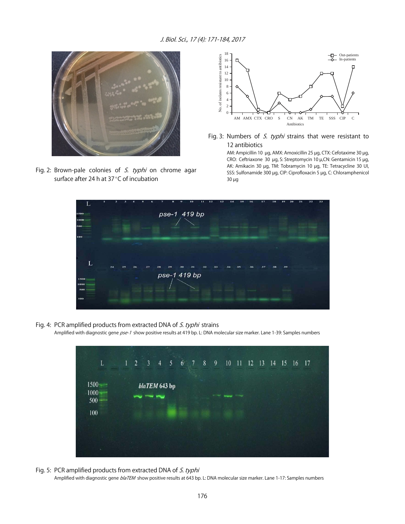

Fig. 2: Brown-pale colonies of  $S$ . typhi on chrome agar surface after 24 h at  $37^{\circ}$ C of incubation



Fig. 3: Numbers of *S. typhi* strains that were resistant to 12 antibiotics

> AM: Ampicillin 10 µg, AMX: Amoxicillin 25 µg, CTX: Cefotaxime 30 µg, CRO: Ceftriaxone 30 µg, S: Streptomycin 10 µ,CN: Gentamicin 15 µg, AK: Amikacin 30 µg, TM: Tobramycin 10 µg, TE: Tetracycline 30 UI, SSS: Sulfonamide 300 µg, CIP: Ciprofloxacin 5 µg, C: Chloramphenicol 30 µg



Fig. 4: PCR amplified products from extracted DNA of S. typhi strains

Amplified with diagnostic gene pse-1 show positive results at 419 bp. L: DNA molecular size marker. Lane 1-39: Samples numbers



- Fig. 5: PCR amplified products from extracted DNA of S. typhi
	- Amplified with diagnostic gene blaTEM show positive results at 643 bp. L: DNA molecular size marker. Lane 1-17: Samples numbers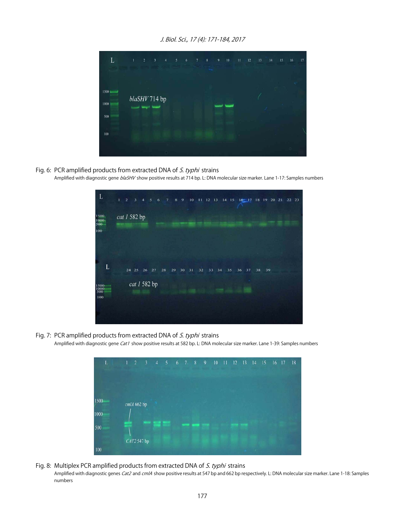

- Fig. 6: PCR amplified products from extracted DNA of S. typhi strains
	- Amplified with diagnostic gene blaSHV show positive results at 714 bp. L: DNA molecular size marker. Lane 1-17: Samples numbers

| L                          | $\mathbf{1}$ | $\overline{2}$ | $\mathfrak z$ | $\overline{4}$ | 5                  | 6  | $7\phantom{.0}$ | 9<br>$\boldsymbol{8}$ | $10\,$ | 11 | 12 13 |    | $14$ 15 |    |    |    |    | 16 17 18 19 20 21 | 22 23 |
|----------------------------|--------------|----------------|---------------|----------------|--------------------|----|-----------------|-----------------------|--------|----|-------|----|---------|----|----|----|----|-------------------|-------|
| 1500<br>1000<br>500<br>100 | cat 1 582 bp |                |               |                |                    |    |                 |                       |        |    |       |    |         |    |    |    |    |                   |       |
| L                          |              |                |               |                |                    |    |                 |                       |        |    |       |    |         |    |    |    |    |                   |       |
| 1500<br>1000<br>500        |              |                | 24 25         | 26             | 27<br>cat 1 582 bp | 28 | 29              | 30                    | 31     | 32 | 33    | 34 | 35      | 36 | 37 | 38 | 39 |                   |       |
| 100                        |              |                |               |                |                    |    |                 |                       |        |    |       |    |         |    |    |    |    |                   |       |

Fig. 7: PCR amplified products from extracted DNA of S. typhi strains

Amplified with diagnostic gene Cat1 show positive results at 582 bp. L: DNA molecular size marker. Lane 1-39: Samples numbers



#### Fig. 8: Multiplex PCR amplified products from extracted DNA of S. typhi strains Amplified with diagnostic genes Cat2 and cm/A show positive results at 547 bp and 662 bp respectively. L: DNA molecular size marker. Lane 1-18: Samples numbers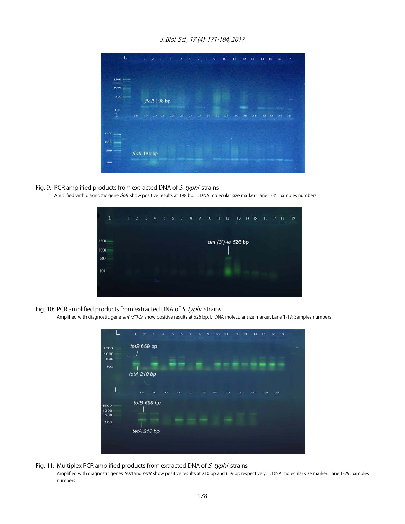| L                        |                   | $1 -$ | $\mathbf{2}$ | $\rightarrow$     | 4  | 5  | 6  | 7  | 8  | $\cdot$ | 10 | 11 |    | $12 - 13$ | $14 - 15$ |    | 16 | 17 |
|--------------------------|-------------------|-------|--------------|-------------------|----|----|----|----|----|---------|----|----|----|-----------|-----------|----|----|----|
|                          |                   |       |              |                   |    |    |    |    |    |         |    |    |    |           |           |    |    |    |
|                          |                   |       |              |                   |    |    |    |    |    |         |    |    |    |           |           |    |    |    |
| $1500$ =                 |                   |       |              |                   |    |    |    |    |    |         |    |    |    |           |           |    |    |    |
| 1000                     |                   |       |              |                   |    |    |    |    |    |         |    |    |    |           |           |    |    |    |
| 500                      |                   |       |              | $f$ lo $R$ 198 bp |    |    |    |    |    |         |    |    |    |           |           |    |    |    |
| 100                      |                   |       |              |                   | ÷. |    |    |    |    |         |    |    |    |           |           |    |    |    |
| L                        | 18.               | 19    | 20           | 21                | 22 | 23 | 24 | 25 | 26 | 27      | 28 | 29 | 30 | 31        | 32        | 33 | 34 | 35 |
|                          |                   |       |              |                   |    |    |    |    |    |         |    |    |    |           |           |    |    |    |
| $1500$ $\longrightarrow$ |                   |       |              |                   |    |    |    |    |    |         |    |    |    |           |           |    |    |    |
| $1000$ $\frac{1}{2}$     |                   |       |              |                   |    |    |    |    |    |         |    |    |    |           |           |    |    |    |
| $500$ $-$                |                   |       |              |                   |    |    |    |    |    |         |    |    |    |           |           |    |    |    |
|                          | $f$ lo $R$ 198 bp |       |              |                   |    |    |    |    |    |         |    |    |    |           |           |    |    |    |
| 100                      |                   |       |              |                   |    |    |    |    |    |         |    |    |    |           |           |    |    |    |
|                          |                   |       |              |                   |    |    |    |    |    |         |    |    |    |           |           |    |    |    |

Fig. 9: PCR amplified products from extracted DNA of S. typhi strains Amplified with diagnostic gene floR show positive results at 198 bp. L: DNA molecular size marker. Lane 1-35: Samples numbers



Fig. 10: PCR amplified products from extracted DNA of S. typhi strains

Amplified with diagnostic gene *ant (3")-la* show positive results at 526 bp. L: DNA molecular size marker. Lane 1-19: Samples numbers



Fig. 11: Multiplex PCR amplified products from extracted DNA of S. typhi strains Amplified with diagnostic genes tetA and tetB show positive results at 210 bp and 659 bp respectively. L: DNA molecular size marker. Lane 1-29: Samples numbers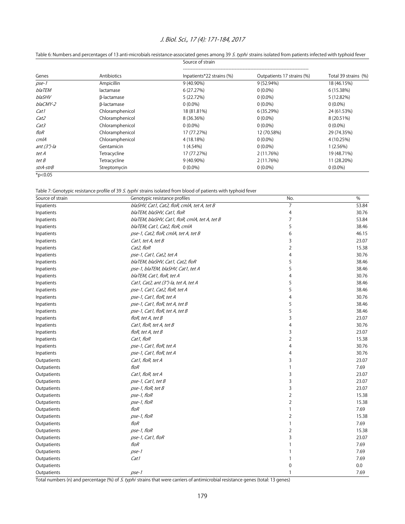|                  |                 | Source of strain          |                            |                      |
|------------------|-----------------|---------------------------|----------------------------|----------------------|
| Genes            | Antibiotics     | Inpatients*22 strains (%) | Outpatients 17 strains (%) | Total 39 strains (%) |
| pse-1            | Ampicillin      | 9 (40.90%)                | 9 (52.94%)                 | 18 (46.15%)          |
| blaTEM           | lactamase       | 6(27.27%)                 | $0(0.0\%)$                 | 6 (15.38%)           |
| blaSHV           | β-lactamase     | 5 (22.72%)                | $0(0.0\%)$                 | 5 (12.82%)           |
| blaCMY-2         | β-lactamase     | $0(0.0\%)$                | $0(0.0\%)$                 | $0(0.0\%)$           |
| Cat1             | Chloramphenicol | 18 (81.81%)               | 6 (35.29%)                 | 24 (61.53%)          |
| Cat <sub>2</sub> | Chloramphenicol | 8 (36.36%)                | $0(0.0\%)$                 | 8 (20.51%)           |
| Cat3             | Chloramphenicol | $0(0.0\%)$                | $0(0.0\%)$                 | $0(0.0\%)$           |
| floR             | Chloramphenicol | 17 (77.27%)               | 12 (70.58%)                | 29 (74.35%)          |
| cm/A             | Chloramphenicol | 4 (18.18%)                | $0(0.0\%)$                 | 4 (10.25%)           |
| ant $(3")$ -la   | Gentamicin      | $1(4.54\%)$               | $0(0.0\%)$                 | 1(2.56%)             |
| tet A            | Tetracycline    | 17 (77.27%)               | 2 (11.76%)                 | 19 (48.71%)          |
| tet B            | Tetracycline    | 9 (40.90%)                | 2 (11.76%)                 | 11 (28.20%)          |
| strA-strB        | Streptomycin    | $0(0.0\%)$                | $0(0.0\%)$                 | $0(0.0\%)$           |
| $*p<0.05$        |                 |                           |                            |                      |

#### Table 6: Numbers and percentages of 13 anti-microbials resistance-associated genes among 39 S. typhi strains isolated from patients infected with typhoid fever

Table 7: Genotypic resistance profile of 39 S. typhi strains isolated from blood of patients with typhoid fever

| Source of strain | Genotypic resistance profiles                  | No.            | $\%$  |
|------------------|------------------------------------------------|----------------|-------|
| Inpatients       | blaSHV, Cat1, Cat2, floR, cmlA, tet A, tet B   | 7              | 53.84 |
| Inpatients       | blaTEM, blaSHV, Cat1, floR                     | 4              | 30.76 |
| Inpatients       | blaTEM, blaSHV, Cat1, floR, cmlA, tet A, tet B | 7              | 53.84 |
| Inpatients       | blaTEM, Cat1, Cat2, floR, cmlA                 | 5              | 38.46 |
| Inpatients       | pse-1, Cat2, floR, cmlA, tet A, tet B          | 6              | 46.15 |
| Inpatients       | Cat1, tet $A$ , tet $B$                        | 3              | 23.07 |
| Inpatients       | Cat2, floR                                     | 2              | 15.38 |
| Inpatients       | pse-1, Cat1, Cat2, tet A                       | 4              | 30.76 |
| Inpatients       | blaTEM, blaSHV, Cat1, Cat2, floR               | 5              | 38.46 |
| Inpatients       | pse-1, blaTEM, blaSHV, Cat1, tet A             | 5              | 38.46 |
| Inpatients       | blaTEM, Cat1, floR, tet A                      | 4              | 30.76 |
| Inpatients       | Cat1, Cat2, ant (3")-la, tet A, tet A          | 5              | 38.46 |
| Inpatients       | pse-1, Cat1, Cat2, floR, tet A                 | 5              | 38.46 |
| Inpatients       | pse-1, Cat1, floR, tet A                       | 4              | 30.76 |
| Inpatients       | pse-1, Cat1, floR, tet A, tet B                | 5              | 38.46 |
| Inpatients       | pse-1, Cat1, floR, tet A, tet B                | 5              | 38.46 |
| Inpatients       | floR, tet A, tet B                             | 3              | 23.07 |
| Inpatients       | Cat1, floR, tet A, tet B                       | 4              | 30.76 |
| Inpatients       | floR, tet A, tet B                             | 3              | 23.07 |
| Inpatients       | Cat1, floR                                     | 2              | 15.38 |
| Inpatients       | pse-1, Cat1, floR, tet A                       | 4              | 30.76 |
| Inpatients       | pse-1, Cat1, floR, tet A                       | 4              | 30.76 |
| Outpatients      | Cat1, floR, tet A                              | 3              | 23.07 |
| Outpatients      | floR                                           | $\mathbf{1}$   | 7.69  |
| Outpatients      | Cat1, floR, tet A                              | 3              | 23.07 |
| Outpatients      | pse-1, Cat1, tet B                             | 3              | 23.07 |
| Outpatients      | pse-1, floR, tet B                             | 3              | 23.07 |
| Outpatients      | pse-1, floR                                    | 2              | 15.38 |
| Outpatients      | pse-1, floR                                    | $\overline{2}$ | 15.38 |
| Outpatients      | floR                                           | 1              | 7.69  |
| Outpatients      | pse-1, floR                                    | $\overline{2}$ | 15.38 |
| Outpatients      | floR                                           | 1              | 7.69  |
| Outpatients      | pse-1, floR                                    | $\overline{2}$ | 15.38 |
| Outpatients      | pse-1, Cat1, floR                              | 3              | 23.07 |
| Outpatients      | floR                                           | 1              | 7.69  |
| Outpatients      | pse-1                                          | 1              | 7.69  |
| Outpatients      | Cat1                                           | 1              | 7.69  |
| Outpatients      |                                                | 0              | 0.0   |
| Outpatients      | pse-1                                          | 1              | 7.69  |

Total numbers (n) and percentage (%) of S. typhi strains that were carriers of antimicrobial resistance genes (total: 13 genes)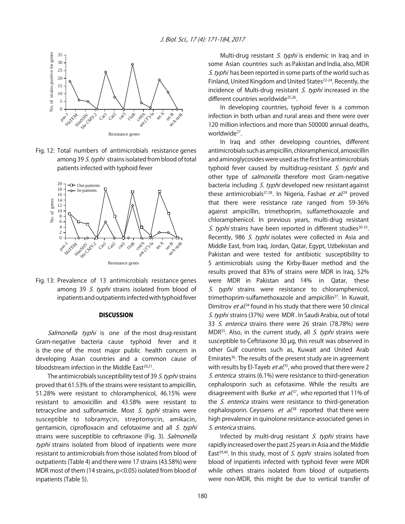

Fig. 12: Total numbers of antimicrobials resistance genes among 39 S. typhi strains isolated from blood of total patients infected with typhoid fever



Fig. 13: Prevalence of 13 antimicrobials resistance genes among 39 S. typhi strains isolated from blood of inpatients and outpatients infected with typhoid fever

#### **DISCUSSION**

Salmonella typhi is one of the most drug-resistant Gram-negative bacteria cause typhoid fever and it is the one of the most major public health concern in developing Asian countries and a common cause of bloodstream infection in the Middle East $20,21$ .

The antimicrobials susceptibility test of 39 S. typhi strains proved that 61.53% of the strains were resistant to ampicillin, 51.28% were resistant to chloramphenicol, 46.15% were resistant to amoxicillin and 43.58% were resistant to tetracycline and sulfonamide. Most  $S$ . typhi strains were susceptible to tobramycin, streptomycin, amikacin, gentamicin, ciprofloxacin and cefotaxime and all S. typhi strains were susceptible to ceftriaxone (Fig. 3). Salmonella typhi strains isolated from blood of inpatients were more resistant to antimicrobials from those isolated from blood of outpatients (Table 4) and there were 17 strains (43.58%) were MDR most of them (14 strains, p<0.05) isolated from blood of inpatients (Table 5).

Multi-drug resistant *S. typhi* is endemic in Iraq and in some Asian countries such as Pakistan and India, also, MDR S. typhi has been reported in some parts of the world such as Finland, United Kingdom and United States<sup>22-24</sup>. Recently, the incidence of Multi-drug resistant  $S$ . typhi increased in the different countries worldwide<sup>25,26</sup>.

In developing countries, typhoid fever is a common infection in both urban and rural areas and there were over 120 million infections and more than 500000 annual deaths, worldwide<sup>27</sup>

In Iraq and other developing countries, different antimicrobials such as ampicillin, chloramphenicol, amoxicillin and aminoglycosides were used as the first line antimicrobials typhoid fever caused by multidrug-resistant S. typhi and other type of *salmonella* therefore most Gram-negative bacteria including *S. typhi* developed new resistant against these antimicrobials<sup>27,28</sup>. In Nigeria, Fashae *et al.*<sup>29</sup> proved that there were resistance rate ranged from 59-36% against ampicillin, trimethoprim, sulfamethoxazole and chloramphenicol. In previous years, multi-drug resistant S. typhi strains have been reported in different studies<sup>30-33</sup>. Recently, 986 S. typhi isolates were collected in Asia and Middle East, from Iraq, Jordan, Qatar, Egypt, Uzbekistan and Pakistan and were tested for antibiotic susceptibility to 5 antimicrobials using the Kirby-Bauer method and the results proved that 83% of strains were MDR in Iraq, 52% were MDR in Pakistan and 14% in Qatar, these S. typhi strains were resistance to chloramphenicol, trimethoprim-sulfamethoxazole and ampicillin<sup>27</sup>. In Kuwait, Dimitrov et al.<sup>34</sup> found in his study that there were 50 clinical S. typhi strains (37%) were MDR. In Saudi Arabia, out of total 33 S. enterica strains there were 26 strain (78.78%) were MDR<sup>35</sup>. Also, in the current study, all *S. typhi* strains were susceptible to Ceftriaxone 30 µg, this result was observed in other Gulf countries such as, Kuwait and United Arab Emirates<sup>36</sup>. The results of the present study are in agreement with results by El-Tayeb *et al*.<sup>35</sup>, who proved that there were 2 S. enterica strains (6.1%) were resistance to third-generation cephalosporin such as cefotaxime. While the results are disagreement with Burke *et al*.<sup>37</sup>, who reported that 11% of the *S. enterica* strains were resistance to third-generation cephalosporin. Ceyssens *et al*.<sup>38</sup> reported that there were high prevalence in quinolone resistance-associated genes in S. enterica strains.

Infected by multi-drug resistant  $S$ . typhi strains have rapidly increased over the past 25 years in Asia and the Middle East<sup>39,40</sup>. In this study, most of *S. typhi* strains isolated from blood of inpatients infected with typhoid fever were MDR while others strains isolated from blood of outpatients were non-MDR, this might be due to vertical transfer of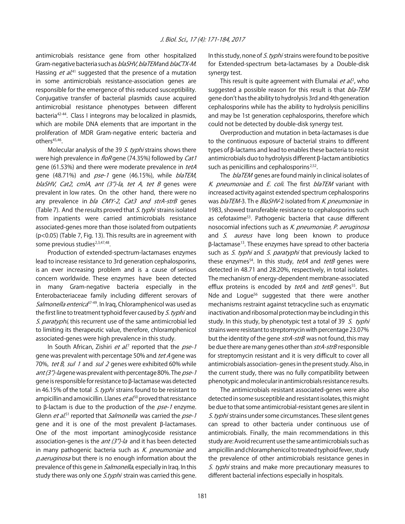antimicrobials resistance gene from other hospitalized Gram-negative bacteria such as *blaSHV, blaTEM* and *blaCTX-M*. Hassing *et al*.<sup>41</sup> suggested that the presence of a mutation in some antimicrobials resistance-association genes are responsible for the emergence of this reduced susceptibility. Conjugative transfer of bacterial plasmids cause acquired antimicrobial resistance phenotypes between different bacteria<sup>42-44</sup>. Class I integrons may be localized in plasmids, which are mobile DNA elements that are important in the proliferation of MDR Gram-negative enteric bacteria and others<sup>45,46</sup>.

Molecular analysis of the 39 S. typhi strains shows there were high prevalence in *floR* gene (74.35%) followed by *Cat1* gene (61.53%) and there were moderate prevalence in tetA gene (48.71%) and pse-1 gene (46.15%), while blaTEM, blaSHV, Cat2, cmlA, ant (3")-la, tet A, tet B genes were prevalent in low rates. On the other hand, there were no any prevalence in bla CMY-2, Cat3 and strA-strB genes (Table 7). And the results proved that S. typhi strains isolated from inpatients were carried antimicrobials resistance associated-genes more than those isolated from outpatients (p<0.05) (Table 7, Fig. 13). This results are in agreement with some previous studies<sup>2,3,47,48</sup>.

Production of extended-spectrum-lactamases enzymes lead to increase resistance to 3rd generation cephalosporins, is an ever increasing problem and is a cause of serious concern worldwide. These enzymes have been detected in many Gram-negative bacteria especially in the Enterobacteriaceae family including different serovars of Salmonella enterica<sup>47-49</sup>. In Iraq, Chloramphenicol was used as the first line to treatment typhoid fever caused by S. typhi and S. paratyphi, this recurrent use of the same antimicrobial led to limiting its therapeutic value, therefore, chloramphenicol associated-genes were high prevalence in this study.

In South African, Zishiri et al.<sup>7</sup> reported that the pse-1 gene was prevalent with percentage 50% and tet A gene was 70%, tet B, sul 1 and sul 2 genes were exhibited 60% while ant  $(3")$ -lagene was prevalent with percentage 80%. The pse-1 gene is responsible for resistance to \$-lactamase was detected in 46.15% of the total  $S.$  typhi strains found to be resistant to ampicillin and amoxicillin. Llanes *et al*.<sup>50</sup> proved that resistance to  $\beta$ -lactam is due to the production of the  $pse-1$  enzyme. Glenn *et al.*<sup>51</sup> reported that *Salmonella* was carried the *pse-1* gene and it is one of the most prevalent  $\beta$ -lactamases. One of the most important aminoglycoside resistance association-genes is the *ant (3")-la* and it has been detected in many pathogenic bacteria such as  $K$ . pneumoniae and p.aeruginosa but there is no enough information about the prevalence of this gene in *Salmonella*, especially in Iraq. In this study there was only one *S.typhi* strain was carried this gene.

In this study, none of S. typhi strains were found to be positive for Extended-spectrum beta-lactamases by a Double-disk synergy test.

This result is quite agreement with Elumalai *et al.*<sup>2</sup>, who suggested a possible reason for this result is that bla-TEM gene don't has the ability to hydrolysis 3rd and 4th generation cephalosporins while has the ability to hydrolysis penicillins and may be 1st generation cephalosporins, therefore which could not be detected by double-disk synergy test.

Overproduction and mutation in beta-lactamases is due to the continuous exposure of bacterial strains to different types of  $\beta$ -lactams and lead to enables these bacteria to resist antimicrobials duo to hydrolysis different  $\beta$ -lactam antibiotics such as penicillins and cephalosporins<sup>2,52</sup>.

The *blaTEM* genes are found mainly in clinical isolates of K. pneumoniae and E. coli. The first blaTEM variant with increased activity against extended spectrum cephalosporins was blaTEM-3. Th e BlaSHV-2 isolated from K. pneumoniae in 1983, showed transferable resistance to cephalosporins such as cefotaxime53. Pathogenic bacteria that cause different nosocomial infections such as K. pneumoniae, P. aeruginosa and S. aureus have long been known to produce  $\beta$ -lactamase<sup>13</sup>. These enzymes have spread to other bacteria such as S. typhi and S. paratyphi that previously lacked to these enzymes<sup>54</sup>. In this study, tetA and tetB genes were detected in 48.71 and 28.20%, respectively, in total isolates. The mechanism of energy-dependent membrane-associated efflux proteins is encoded by tetA and tetB genes<sup>55</sup>. But Nde and Logue<sup>56</sup> suggested that there were another mechanisms restraint against tetracycline such as enzymatic inactivation and ribosomal protection may be including in this study. In this study, by phenotypic test a total of 39 S. typhi strains were resistant to streptomycin with percentage 23.07% but the identity of the gene strA-strB was not found, this may be due there are many genes other than strA-strB responsible for streptomycin resistant and it is very difficult to cover all antimicrobials association- genes in the present study. Also, in the current study, there was no fully compatibility between phenotypic and molecular in antimicrobials resistance results.

The antimicrobials resistant associated-genes were also detected in some susceptible and resistant isolates, this might be due to that some antimicrobial-resistant genes are silent in S. typhi strains under some circumstances. These silent genes can spread to other bacteria under continuous use of antimicrobials. Finally, the main recommendations in this study are: Avoid recurrent use the same antimicrobials such as ampicillin and chloramphenicol to treated typhoid fever, study the prevalence of other antimicrobials resistance genes in S. typhi strains and make more precautionary measures to different bacterial infections especially in hospitals.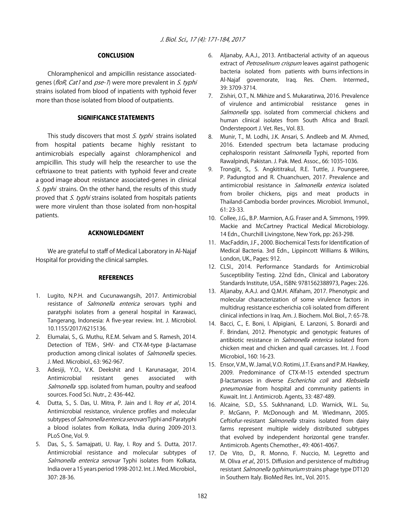#### **CONCLUSION**

Chloramphenicol and ampicillin resistance associatedgenes (floR, Cat1 and pse-1) were more prevalent in S. typhi strains isolated from blood of inpatients with typhoid fever more than those isolated from blood of outpatients.

#### SIGNIFICANCE STATEMENTS

This study discovers that most  $S$ . typhi strains isolated from hospital patients became highly resistant to antimicrobials especially against chloramphenicol and ampicillin. This study will help the researcher to use the ceftriaxone to treat patients with typhoid fever and create a good image about resistance associated-genes in clinical S. typhi strains. On the other hand, the results of this study proved that S. typhi strains isolated from hospitals patients were more virulent than those isolated from non-hospital patients.

#### ACKNOWLEDGMENT

We are grateful to staff of Medical Laboratory in Al-Najaf Hospital for providing the clinical samples.

#### **REFERENCES**

- 1. Lugito, N.P.H. and Cucunawangsih, 2017. Antimicrobial resistance of *Salmonella enterica* serovars typhi and paratyphi isolates from a general hospital in Karawaci, Tangerang, Indonesia: A five-year review. Int. J. Microbiol. 10.1155/2017/6215136.
- 2. Elumalai, S., G. Muthu, R.E.M. Selvam and S. Ramesh, 2014. Detection of TEM-, SHV- and CTX-M-type  $\beta$ -lactamase production among clinical isolates of Salmonella species. J. Med. Microbiol., 63: 962-967.
- 3. Adesiji, Y.O., V.K. Deekshit and I. Karunasagar, 2014. Antimicrobial resistant genes associated with Salmonella spp. isolated from human, poultry and seafood sources. Food Sci. Nutr., 2: 436-442.
- 4. Dutta, S., S. Das, U. Mitra, P. Jain and I. Roy et al., 2014. Antimicrobial resistance, virulence profiles and molecular subtypes of Salmonella enterica serovars Typhi and Paratyphi a blood isolates from Kolkata, India during 2009-2013. PLoS One, Vol. 9.
- 5. Das, S., S. Samajpati, U. Ray, I. Roy and S. Dutta, 2017. Antimicrobial resistance and molecular subtypes of Salmonella enterica serovar Typhi isolates from Kolkata, India over a 15 years period 1998-2012. Int. J. Med. Microbiol., 307: 28-36.
- 6. Aljanaby, A.A.J., 2013. Antibacterial activity of an aqueous extract of *Petroselinum crispum* leaves against pathogenic bacteria isolated from patients with burns infections in Al-Najaf governorate, Iraq. Res. Chem. Intermed., 39: 3709-3714.
- 7. Zishiri, O.T., N. Mkhize and S. Mukaratirwa, 2016. Prevalence of virulence and antimicrobial resistance genes in Salmonella spp. isolated from commercial chickens and human clinical isolates from South Africa and Brazil. Onderstepoort J. Vet. Res., Vol. 83.
- 8. Munir, T., M. Lodhi, J.K. Ansari, S. Andleeb and M. Ahmed, 2016. Extended spectrum beta lactamase producing cephalosporin resistant Salmonella Typhi, reported from Rawalpindi, Pakistan. J. Pak. Med. Assoc., 66: 1035-1036.
- 9. Trongjit, S., S. Angkititrakul, R.E. Tuttle, J. Poungseree, P. Padungtod and R. Chuanchuen, 2017. Prevalence and antimicrobial resistance in *Salmonella enterica* isolated from broiler chickens, pigs and meat products in Thailand-Cambodia border provinces. Microbiol. Immunol., 61: 23-33.
- 10. Collee, J.G., B.P. Marmion, A.G. Fraser and A. Simmons, 1999. Mackie and McCartney Practical Medical Microbiology. 14 Edn., Churchill Livingstone, New York, pp: 263-298.
- 11. MacFaddin, J.F., 2000. Biochemical Tests for Identification of Medical Bacteria. 3rd Edn., Lippincott Williams & Wilkins, London, UK., Pages: 912.
- 12. CLSI., 2014. Performance Standards for Antimicrobial Susceptibility Testing. 22nd Edn., Clinical and Laboratory Standards Institute, USA., ISBN: 9781562388973, Pages: 226.
- 13. Aljanaby, A.A.J. and Q.M.H. Alfaham, 2017. Phenotypic and molecular characterization of some virulence factors in multidrug resistance escherichia coli isolated from different clinical infections in Iraq. Am. J. Biochem. Mol. Biol., 7: 65-78.
- 14. Bacci, C., E. Boni, I. Alpigiani, E. Lanzoni, S. Bonardi and F. Brindani, 2012. Phenotypic and genotypic features of antibiotic resistance in Salmonella enterica isolated from chicken meat and chicken and quail carcasses. Int. J. Food Microbiol., 160: 16-23.
- 15. Ensor, V.M., W. Jamal, V.O. Rotimi, J.T. Evans and P.M. Hawkey, 2009. Predominance of CTX-M-15 extended spectrum B-lactamases in diverse Escherichia coli and Klebsiella pneumoniae from hospital and community patients in Kuwait. Int. J. Antimicrob. Agents, 33: 487-489.
- 16. Alcaine, S.D., S.S. Sukhnanand, L.D. Warnick, W.L. Su, P. McGann, P. McDonough and M. Wiedmann, 2005. Ceftiofur-resistant *Salmonella* strains isolated from dairy farms represent multiple widely distributed subtypes that evolved by independent horizontal gene transfer. Antimicrob. Agents Chemother., 49: 4061-4067.
- 17. De Vito, D., R. Monno, F. Nuccio, M. Legretto and M. Oliva et al., 2015. Diffusion and persistence of multidrug resistant Salmonella typhimurium strains phage type DT120 in Southern Italy. BioMed Res. Int., Vol. 2015.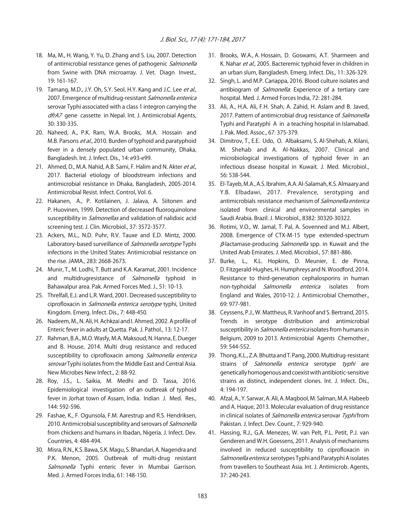- 18. Ma, M., H. Wang, Y. Yu, D. Zhang and S. Liu, 2007. Detection of antimicrobial resistance genes of pathogenic Salmonella from Swine with DNA microarray. J. Vet. Diagn Invest., 19: 161-167.
- 19. Tamang, M.D., J.Y. Oh, S.Y. Seol, H.Y. Kang and J.C. Lee et al., 2007. Emergence of multidrug-resistant Salmonella enterica serovar Typhi associated with a class 1 integron carrying the dfrA7 gene cassette in Nepal. Int. J. Antimicrobial Agents, 30: 330-335.
- 20. Naheed, A., P.K. Ram, W.A. Brooks, M.A. Hossain and M.B. Parsons et al., 2010. Burden of typhoid and paratyphoid fever in a densely populated urban community, Dhaka, Bangladesh. Int. J. Infect. Dis., 14: e93-e99.
- 21. Ahmed, D., M.A. Nahid, A.B. Sami, F. Halim and N. Akter et al., 2017. Bacterial etiology of bloodstream infections and antimicrobial resistance in Dhaka, Bangladesh, 2005-2014. Antimicrobial Resist. Infect. Control, Vol. 6.
- 22. Hakanen, A., P. Kotilainen, J. Jalava, A. Siitonen and P. Huovinen, 1999. Detection of decreased fluoroquinolone susceptibility in *Salmonellas* and validation of nalidixic acid screening test. J. Clin. Microbiol., 37: 3572-3577.
- 23. Ackers, M.L., N.D. Puhr, R.V. Tauxe and E.D. Mintz, 2000. Laboratory-based surveillance of Salmonella serotype Typhi infections in the United States: Antimicrobial resistance on the rise. JAMA., 283: 2668-2673.
- 24. Munir, T., M. Lodhi, T. Butt and K.A. Karamat, 2001. Incidence and multidrugresistance of Salmonella typhoid in Bahawalpur area. Pak. Armed Forces Med. J., 51: 10-13.
- 25. Threlfall, E.J. and L.R. Ward, 2001. Decreased susceptibility to ciprofloxacin in Salmonella enterica serotype typhi, United Kingdom. Emerg. Infect. Dis., 7: 448-450.
- 26. Nadeem, M., N. Ali, H. Achkzai and I. Ahmed, 2002. A profile of Enteric fever in adults at Quetta. Pak. J. Pathol., 13: 12-17.
- 27. Rahman, B.A., M.O. Wasfy, M.A. Maksoud, N. Hanna, E. Dueger and B. House, 2014. Multi drug resistance and reduced susceptibility to ciprofloxacin among Salmonella enterica serovar Typhi isolates from the Middle East and Central Asia. New Microbes New Infect., 2: 88-92.
- 28. Roy, J.S., L. Saikia, M. Medhi and D. Tassa, 2016. Epidemiological investigation of an outbreak of typhoid fever in Jorhat town of Assam, India. Indian J. Med. Res., 144: 592-596.
- 29. Fashae, K., F. Ogunsola, F.M. Aarestrup and R.S. Hendriksen, 2010. Antimicrobial susceptibility and serovars of Salmonella from chickens and humans in Ibadan, Nigeria. J. Infect. Dev. Countries, 4: 484-494.
- 30. Misra, R.N., K.S. Bawa, S.K. Magu, S. Bhandari, A. Nagendra and P.K. Menon, 2005. Outbreak of multi-drug resistant Salmonella Typhi enteric fever in Mumbai Garrison. Med. J. Armed Forces India, 61: 148-150.
- 31. Brooks, W.A., A. Hossain, D. Goswami, A.T. Sharmeen and K. Nahar et al., 2005. Bacteremic typhoid fever in children in an urban slum, Bangladesh. Emerg. Infect. Dis., 11: 326-329.
- 32. Singh, L. and M.P. Cariappa, 2016. Blood culture isolates and antibiogram of Salmonella: Experience of a tertiary care hospital. Med. J. Armed Forces India, 72: 281-284.
- 33. Ali, A., H.A. Ali, F.H. Shah, A. Zahid, H. Aslam and B. Javed, 2017. Pattern of antimicrobial drug resistance of Salmonella Typhi and Paratyphi A in a teaching hospital in Islamabad. J. Pak. Med. Assoc., 67: 375-379.
- 34. Dimitrov, T., E.E. Udo, O. Albaksami, S. Al-Shehab, A. Kilani, M. Shehab and A. Al-Nakkas, 2007. Clinical and microbiological investigations of typhoid fever in an infectious disease hospital in Kuwait. J. Med. Microbiol., 56: 538-544.
- 35. El-Tayeb, M.A., A.S. Ibrahim, A.A. Al-Salamah, K.S. Almaary and Y.B. Elbadawi, 2017. Prevalence, serotyping and antimicrobials resistance mechanism of Salmonella enterica isolated from clinical and environmental samples in Saudi Arabia. Brazil. J. Microbiol., 8382: 30320-30322.
- 36. Rotimi, V.O., W. Jamal, T. Pal, A. Sovenned and M.J. Albert, 2008. Emergence of CTX-M-15 type extended-spectrum  $\beta$ -lactamase-producing *Salmonella* spp. in Kuwait and the United Arab Emirates. J. Med. Microbiol., 57: 881-886.
- 37. Burke, L., K.L. Hopkins, D. Meunier, E. de Pinna, D. Fitzgerald-Hughes, H. Humphreys and N. Woodford, 2014. Resistance to third-generation cephalosporins in human non-typhoidal Salmonella enterica isolates from England and Wales, 2010-12. J. Antimicrobial Chemother., 69: 977-981.
- 38. Ceyssens, P.J., W. Mattheus, R. Vanhoof and S. Bertrand, 2015. Trends in serotype distribution and antimicrobial susceptibility in *Salmonella enterica* isolates from humans in Belgium, 2009 to 2013. Antimicrobial Agents Chemother., 59: 544-552.
- 39. Thong, K.L., Z.A. Bhutta and T. Pang, 2000. Multidrug-resistant strains of Salmonella enterica serotype typhi are genetically homogenous and coexist with antibiotic-sensitive strains as distinct, independent clones. Int. J. Infect. Dis., 4: 194-197.
- 40. Afzal, A., Y. Sarwar, A. Ali, A. Maqbool, M. Salman, M.A. Habeeb and A. Haque, 2013. Molecular evaluation of drug resistance in clinical isolates of Salmonella enterica serovar Typhi from Pakistan. J. Infect. Dev. Count., 7: 929-940.
- 41. Hassing, R.J., G.A. Menezes, W. van Pelt, P.L. Petit, P.J. van Genderen and W.H. Goessens, 2011. Analysis of mechanisms involved in reduced susceptibility to ciprofloxacin in Salmonella enterica serotypes Typhi and Paratyphi A isolates from travellers to Southeast Asia. Int. J. Antimicrob. Agents, 37: 240-243.